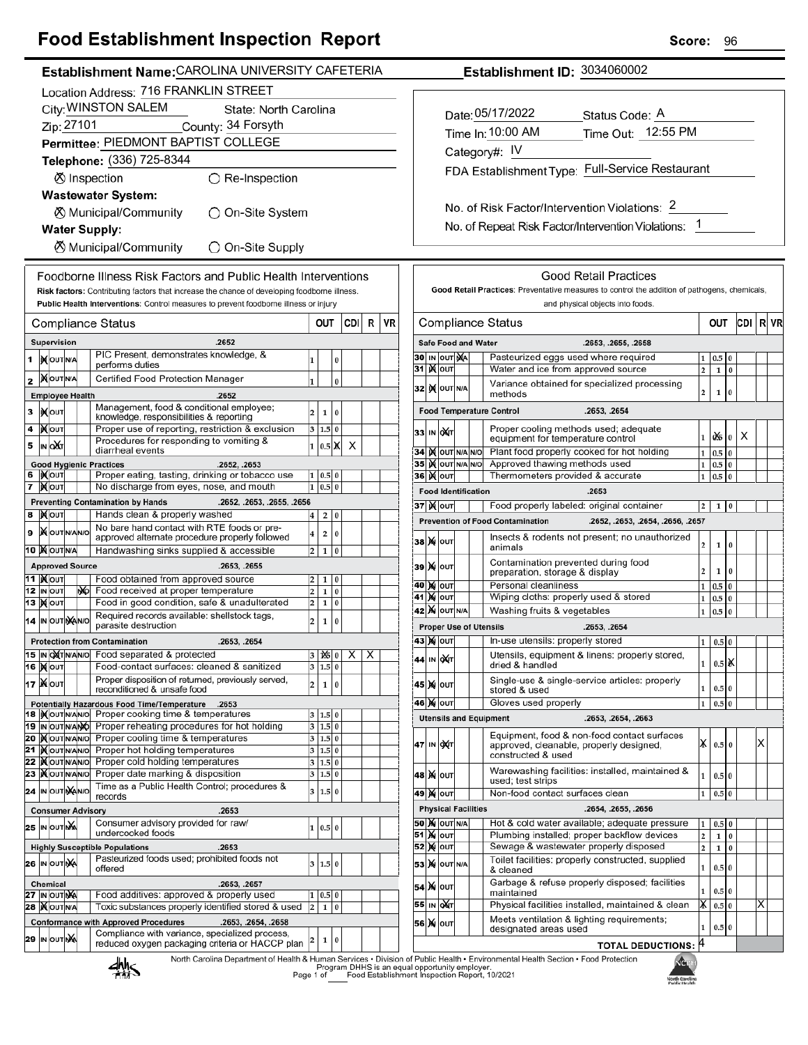| Food Establishment Inspection Report                                                                                                           | Score:<br>96                                                                                                                                                    |
|------------------------------------------------------------------------------------------------------------------------------------------------|-----------------------------------------------------------------------------------------------------------------------------------------------------------------|
| Establishment Name: CAROLINA UNIVERSITY CAFETERIA                                                                                              | Establishment ID: 3034060002                                                                                                                                    |
| Location Address: 716 FRANKLIN STREET                                                                                                          |                                                                                                                                                                 |
| City: WINSTON SALEM<br>State: North Carolina                                                                                                   |                                                                                                                                                                 |
| Zip: 27101<br>County: 34 Forsyth                                                                                                               | Date: 05/17/2022<br>Status Code: A                                                                                                                              |
| Permittee: PIEDMONT BAPTIST COLLEGE                                                                                                            | Time Out: 12:55 PM<br>Time In: 10:00 AM                                                                                                                         |
|                                                                                                                                                | Category#: IV                                                                                                                                                   |
| Telephone: (336) 725-8344                                                                                                                      | FDA Establishment Type: Full-Service Restaurant                                                                                                                 |
| ⊗ Inspection<br>$\bigcirc$ Re-Inspection                                                                                                       |                                                                                                                                                                 |
| <b>Wastewater System:</b>                                                                                                                      |                                                                                                                                                                 |
| <b><math>\oslash</math> Municipal/Community</b><br>○ On-Site System                                                                            | No. of Risk Factor/Intervention Violations: 2                                                                                                                   |
| <b>Water Supply:</b>                                                                                                                           | No. of Repeat Risk Factor/Intervention Violations: 1                                                                                                            |
| <b><math>\oslash</math> Municipal/Community</b><br>◯ On-Site Supply                                                                            |                                                                                                                                                                 |
|                                                                                                                                                |                                                                                                                                                                 |
| Foodborne Illness Risk Factors and Public Health Interventions                                                                                 | <b>Good Retail Practices</b>                                                                                                                                    |
| Risk factors: Contributing factors that increase the chance of developing foodborne illness.                                                   | Good Retail Practices: Preventative measures to control the addition of pathogens, chemicals,                                                                   |
| Public Health Interventions: Control measures to prevent foodborne illness or injury                                                           | and physical objects into foods.                                                                                                                                |
| CDI R<br><b>Compliance Status</b><br>OUT                                                                                                       | R VR<br>VR<br><b>Compliance Status</b><br>CDI<br>OUT                                                                                                            |
| <b>Supervision</b><br>.2652                                                                                                                    | <b>Safe Food and Water</b><br>.2653, .2655, .2658                                                                                                               |
| PIC Present, demonstrates knowledge, &                                                                                                         | 30 IN OUT NA<br>Pasteurized eggs used where required<br>$0.5\,$<br>1                                                                                            |
| 1   NOUTNA<br>$\mathbf{1}$<br>$\bf{0}$<br>performs duties                                                                                      | 31   X   OUT<br>Water and ice from approved source<br>$\overline{2}$<br>$\mathbf 1$<br>$\bf{0}$                                                                 |
| 2 NOUTNA<br>Certified Food Protection Manager<br>$\vert$ 1<br>$\mathbf 0$                                                                      | Variance obtained for specialized processing<br>32 K OUT N/A                                                                                                    |
| <b>Employee Health</b><br>.2652                                                                                                                | 2<br>$\mathbf{1}$<br>methods<br>ın                                                                                                                              |
| Management, food & conditional employee;<br>3   Молт<br>$\overline{2}$<br>1 0<br>knowledge, responsibilities & reporting                       | <b>Food Temperature Control</b><br>.2653. .2654                                                                                                                 |
| Proper use of reporting, restriction & exclusion<br>$4$ <b>X</b> OUT<br>3   1.5   0                                                            | Proper cooling methods used; adequate<br>33 IN OXT                                                                                                              |
| Procedures for responding to vomiting &<br>5 IN OXT<br>1 0.5 X<br>$\boldsymbol{\mathsf{X}}$<br>diarrheal events                                | $1$ 0% 0<br>X<br>equipment for temperature control                                                                                                              |
| <b>Good Hygienic Practices</b><br>.2652, .2653                                                                                                 | 34 IN OUT N/A N/O<br>Plant food properly cooked for hot holding<br>$1 \vert 0.5 \vert 0$<br>Approved thawing methods used<br>35 IX OUT N/A N/O<br>$1 \ 0.5 \ 0$ |
| 6   Kout<br>Proper eating, tasting, drinking or tobacco use<br>1   0.5   0                                                                     | 36   OUT<br>Thermometers provided & accurate<br>$1 \ 0.5 \ 0$                                                                                                   |
| No discharge from eyes, nose, and mouth<br>$1 \ 0.5 \ 0$<br>7 MOUT                                                                             | .2653<br><b>Food Identification</b>                                                                                                                             |
| <b>Preventing Contamination by Hands</b><br>.2652, .2653, .2655, .2656                                                                         | <b>37 ) о</b> лт<br>Food properly labeled: original container<br> 2 1 0                                                                                         |
| 8 MOUT<br>Hands clean & properly washed<br>$4 \mid 2 \mid 0$                                                                                   | <b>Prevention of Food Contamination</b><br>.2652, .2653, .2654, .2656, .2657                                                                                    |
| No bare hand contact with RTE foods or pre-<br>9 XOUTNANO<br>$\overline{\mathbf{4}}$<br>2 0 <br>approved alternate procedure properly followed | Insects & rodents not present; no unauthorized                                                                                                                  |
| <b>10 MOUTINA</b><br>Handwashing sinks supplied & accessible<br>2   1   0                                                                      | <b>38 X о</b> UТ<br>$\overline{\mathbf{c}}$<br>$\mathbf 1$<br>$\bf{0}$<br>animals                                                                               |
| <b>Approved Source</b><br>.2653, .2655                                                                                                         | Contamination prevented during food<br><b>39 X OUT</b><br>2                                                                                                     |
| <b>11  Молт</b><br>Food obtained from approved source<br>$2 \mid 1 \mid 0$                                                                     | 1<br>0<br>preparation, storage & display<br>Personal cleanliness<br>40 M OUT<br>$1 \t0.5 \t0$                                                                   |
| N <sub>D</sub><br>Food received at proper temperature<br> 2 <br>12 IN OUT<br>1 0                                                               | 41 NOUT<br>Wiping cloths: properly used & stored<br>$1\quad0.5\quad0$                                                                                           |
| 13 Молт<br>Food in good condition, safe & unadulterated<br>$2$ 1 0<br>Required records available: shellstock tags,                             | 42 M OUT N/A<br>$1 \vert 0.5 \vert 0$<br>Washing fruits & vegetables                                                                                            |
| $\overline{\mathbf{z}}$<br>14 IN OUT NANO<br>1 0 <br>parasite destruction<br>$\overline{ }$                                                    | <b>Proper Use of Utensils</b><br>.2653. .2654                                                                                                                   |
| <b>Protection from Contamination</b><br>.2653, .2654                                                                                           | 43 X OUT<br>In-use utensils: properly stored<br>$0.5$ 0<br>$\mathbf{1}$                                                                                         |
| 15 IN OXT N/AN/O Food separated & protected<br>$3 \times 0 \times$<br>X                                                                        | Utensils, equipment & linens: properly stored,<br>44 IN OXT                                                                                                     |
| $3 \ 1.5 \ 0$<br>16   OUT<br>Food-contact surfaces: cleaned & sanitized                                                                        | 1<br>$0.5$ $\vert$ X<br>dried & handled                                                                                                                         |
| Proper disposition of returned, previously served,<br>17   N OUT<br>$\overline{2}$<br>1 0<br>reconditioned & unsafe food                       | Single-use & single-service articles: properly<br>45   X   ouт<br>1<br>$0.5$ 0<br>stored & used                                                                 |
| 2653. Potentially Hazardous Food Time/Temperature                                                                                              | Gloves used properly<br><b>46 MOUT</b><br>$0.5\,0$<br>$\mathbf{1}$                                                                                              |
| 18   Nout NANO Proper cooking time & temperatures<br>$3$ 1.5 0                                                                                 | <b>Utensils and Equipment</b><br>.2653, .2654, .2663                                                                                                            |
| 19 In our NAMO Proper reheating procedures for hot holding<br>3 1.5 0<br>20 Mourwal Proper cooling time & temperatures<br>3 1.5 0              | Equipment, food & non-food contact surfaces                                                                                                                     |
| 21 Xout NAVO Proper hot holding temperatures<br>3 1.5 0                                                                                        | $\mathsf{X}$ 0.5 0<br>х<br>47 IN OXT<br>approved, cleanable, properly designed,                                                                                 |
| 22 <b>Kout MANO</b> Proper cold holding temperatures<br>3   1.5   0                                                                            | constructed & used                                                                                                                                              |
| 23 Xout NAVIO Proper date marking & disposition<br>3   1.5   0                                                                                 | Warewashing facilities: installed, maintained &<br>48   Х   оит<br>$\mathbf{1}$<br>$0.5\vert 0$<br>used; test strips                                            |
| Time as a Public Health Control; procedures &<br>24 IN OUT MANO<br>3   1.5   0<br>records                                                      | <b>49 X OUT</b><br>Non-food contact surfaces clean<br>$\mathbf{1}$<br>$0.5\,0$                                                                                  |
| .2653<br><b>Consumer Advisory</b>                                                                                                              | <b>Physical Facilities</b><br>.2654, .2655, .2656                                                                                                               |
| Consumer advisory provided for raw/<br>25 IN OUT NA<br>1   0.5   0                                                                             | <b>50 X</b> OUT N/A<br>Hot & cold water available; adequate pressure<br>$0.5\vert 0$<br>1                                                                       |
| undercooked foods                                                                                                                              | <b>51 X out</b><br>Plumbing installed; proper backflow devices<br>$\overline{2}$<br>l 0<br>$\mathbf{1}$                                                         |
| <b>Highly Susceptible Populations</b><br>.2653<br>Pasteurized foods used; prohibited foods not                                                 | <b>52 X OUT</b><br>Sewage & wastewater properly disposed<br>$\overline{2}$<br>$1\overline{0}$                                                                   |
| 26 IN OUT NA<br>3   1.5   0<br>offered                                                                                                         | Toilet facilities: properly constructed, supplied<br><b>53 X</b> OUT N/A<br>$\mathbf{1}$<br>0.5 0<br>& cleaned                                                  |
| .2653, .2657<br>Chemical                                                                                                                       | Garbage & refuse properly disposed; facilities<br>54 X 0uт                                                                                                      |
| 27 IN OUT NA<br>Food additives: approved & properly used<br>1   0.5   0                                                                        | 0.5 0<br>1<br>maintained                                                                                                                                        |
| 28   OUT N/A<br>Toxic substances properly identified stored & used<br>$2 \mid 1 \mid 0$                                                        | $\vert$ X $\vert$ 0.5 $\vert$ 0<br>$\overline{\mathsf{x}}$<br>55 IN OXT<br>Physical facilities installed, maintained & clean                                    |
| <b>Conformance with Approved Procedures</b><br>.2653, .2654, .2658<br>Compliance with variance, specialized process,                           | Meets ventilation & lighting requirements;<br>56 X OUT<br>0.5 0<br>1<br>designated areas used                                                                   |
| 29 IN OUT NA<br>$2 \mid 1 \mid 0$<br>reduced oxygen packaging criteria or HACCP plan                                                           | <b>TOTAL DEDUCTIONS: 4</b>                                                                                                                                      |

North Carolina Department of Health & Human Services . Division of Public Health - Environmental Health Section - Food Protection<br>Program DHHS is an equal opportunity employer.<br>Food Establishment Inspection Report, 10/2021



۷Ĝ. North Carolina<br>Public Health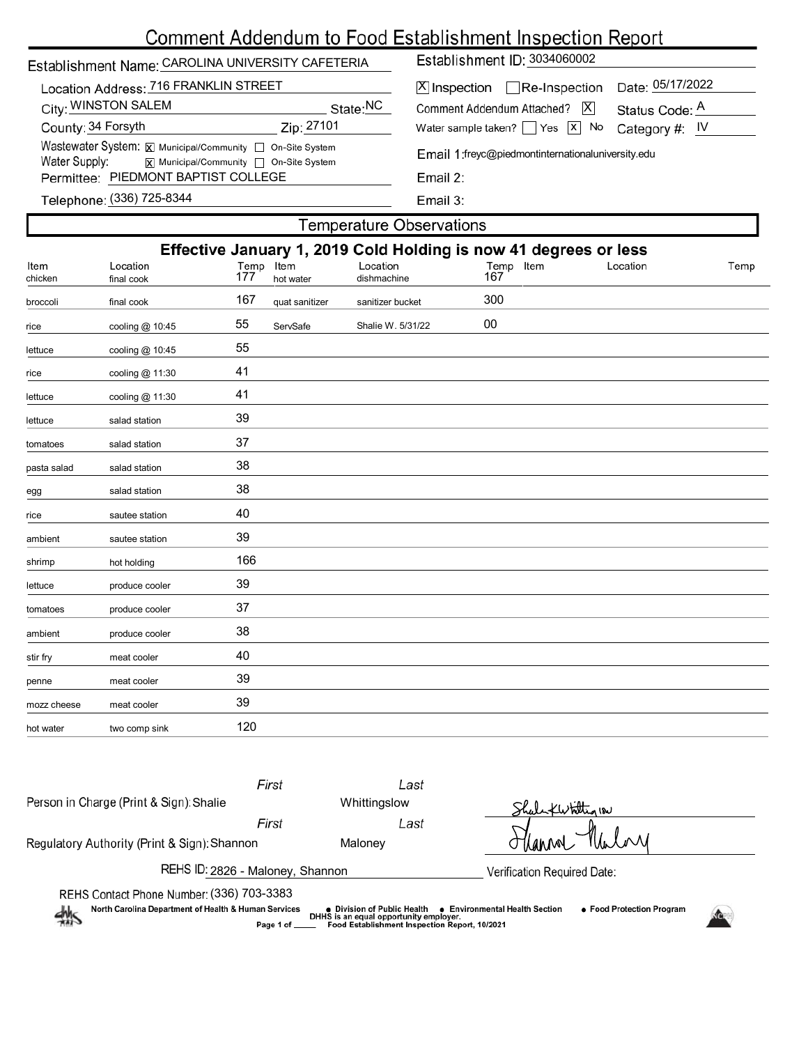# Comment Addendum to Food Establishment Inspection Report

# Establishment Name: CAROLINA UNIVERSITY CAFETERIA

| Location Address: 716 FRANKLIN STREET                                         |
|-------------------------------------------------------------------------------|
| State:NC                                                                      |
| Zip: 27101                                                                    |
| Wastewater System: X Municipal/Community   On-Site System                     |
| $\boxed{\mathbf{X}}$ Municipal/Community $\boxed{\phantom{a}}$ On-Site System |
| Permittee: PIEDMONT BAPTIST COLLEGE                                           |
|                                                                               |

Establishment ID: 3034060002

|                            | X Inspection<br>Inspection<br>Inspection  ate: 05/17/2022 |  |
|----------------------------|-----------------------------------------------------------|--|
| Comment Addendum Attached? | Status Code: A                                            |  |

Water sample taken?  $\Box$  Yes  $\Box$  No Category #: IV

Email 1:freyc@piedmontinternationaluniversity.edu

Email 2:

Telephone: (336) 725-8344

## **Temperature Observations**

| Effective January 1, 2019 Cold Holding is now 41 degrees or less |                        |                  |                |                         |                  |          |      |
|------------------------------------------------------------------|------------------------|------------------|----------------|-------------------------|------------------|----------|------|
| Item<br>chicken                                                  | Location<br>final cook | Temp Item<br>177 | hot water      | Location<br>dishmachine | Temp Item<br>167 | Location | Temp |
| broccoli                                                         | final cook             | 167              | quat sanitizer | sanitizer bucket        | 300              |          |      |
| rice                                                             | cooling @ 10:45        | 55               | ServSafe       | Shalie W. 5/31/22       | $00\,$           |          |      |
| lettuce                                                          | cooling @ 10:45        | 55               |                |                         |                  |          |      |
| rice                                                             | cooling @ 11:30        | 41               |                |                         |                  |          |      |
| lettuce                                                          | cooling @ 11:30        | 41               |                |                         |                  |          |      |
| lettuce                                                          | salad station          | 39               |                |                         |                  |          |      |
| tomatoes                                                         | salad station          | 37               |                |                         |                  |          |      |
| pasta salad                                                      | salad station          | 38               |                |                         |                  |          |      |
| egg                                                              | salad station          | 38               |                |                         |                  |          |      |
| rice                                                             | sautee station         | 40               |                |                         |                  |          |      |
| ambient                                                          | sautee station         | 39               |                |                         |                  |          |      |
| shrimp                                                           | hot holding            | 166              |                |                         |                  |          |      |
| lettuce                                                          | produce cooler         | 39               |                |                         |                  |          |      |
| tomatoes                                                         | produce cooler         | 37               |                |                         |                  |          |      |
| ambient                                                          | produce cooler         | 38               |                |                         |                  |          |      |
| stir fry                                                         | meat cooler            | 40               |                |                         |                  |          |      |
| penne                                                            | meat cooler            | 39               |                |                         |                  |          |      |
| mozz cheese                                                      | meat cooler            | 39               |                |                         |                  |          |      |
| hot water                                                        | two comp sink          | 120              |                |                         |                  |          |      |
|                                                                  |                        |                  |                |                         |                  |          |      |

|                                                                                                                      | First           | Last                                                                                                                   |                                                                  |  |
|----------------------------------------------------------------------------------------------------------------------|-----------------|------------------------------------------------------------------------------------------------------------------------|------------------------------------------------------------------|--|
| Person in Charge (Print & Sign): Shalie                                                                              |                 | Whittingslow                                                                                                           | Shale Kwhittig 180                                               |  |
|                                                                                                                      | First           | Last                                                                                                                   |                                                                  |  |
| Regulatory Authority (Print & Sign): Shannon                                                                         |                 | Malonev                                                                                                                | Thannw                                                           |  |
| REHS ID: 2826 - Maloney, Shannon                                                                                     |                 | Verification Required Date:                                                                                            |                                                                  |  |
| REHS Contact Phone Number: (336) 703-3383<br>North Carolina Department of Health & Human Services<br>$\frac{dh}{dh}$ | Page 1 of _____ | • Division of Public Health<br>DHHS is an equal opportunity employer.<br>Food Establishment Inspection Report, 10/2021 | • Food Protection Program<br><b>Environmental Health Section</b> |  |